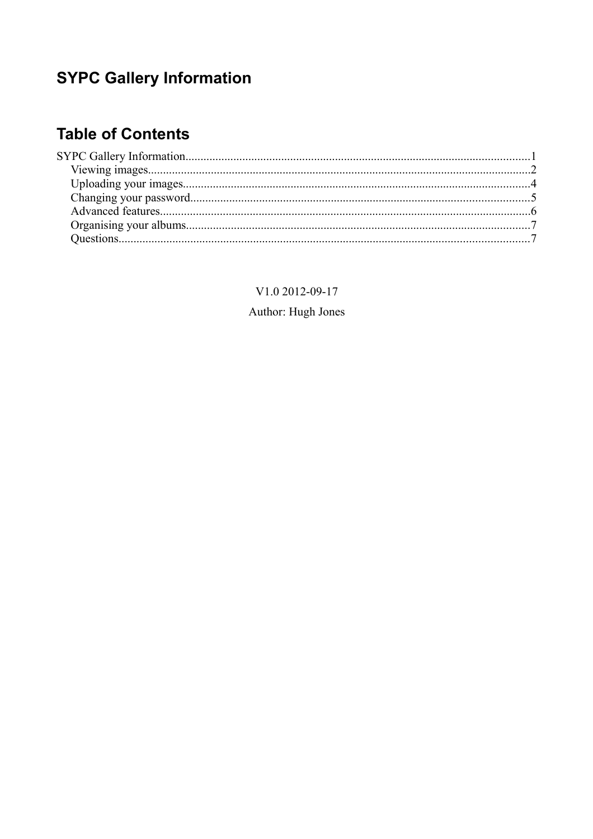# **SYPC Gallery Information**

## **Table of Contents**

V1.0 2012-09-17 Author: Hugh Jones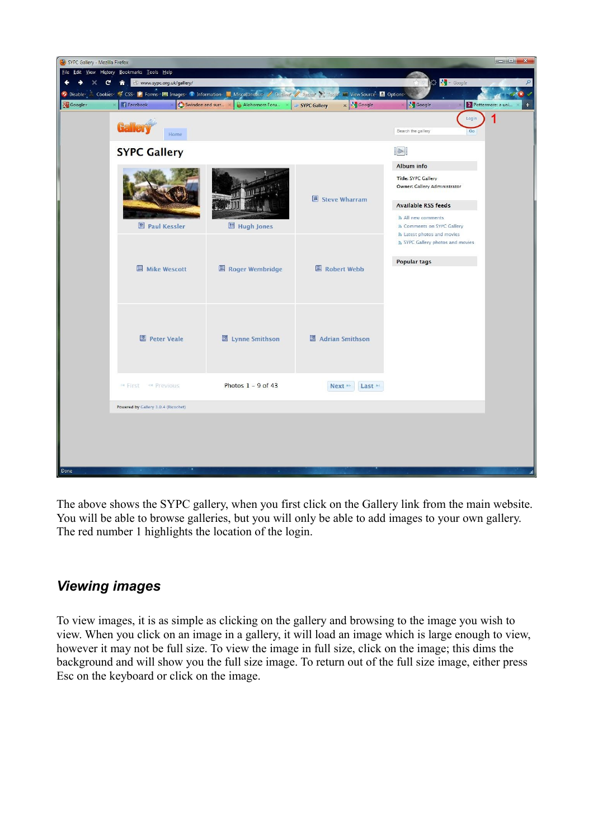

The above shows the SYPC gallery, when you first click on the Gallery link from the main website. You will be able to browse galleries, but you will only be able to add images to your own gallery. The red number 1 highlights the location of the login.

#### *Viewing images*

To view images, it is as simple as clicking on the gallery and browsing to the image you wish to view. When you click on an image in a gallery, it will load an image which is large enough to view, however it may not be full size. To view the image in full size, click on the image; this dims the background and will show you the full size image. To return out of the full size image, either press Esc on the keyboard or click on the image.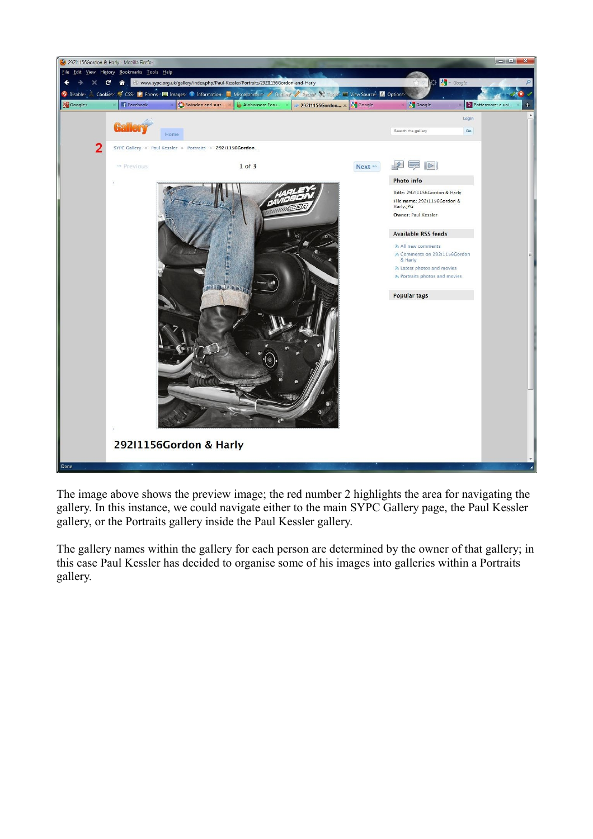

The image above shows the preview image; the red number 2 highlights the area for navigating the gallery. In this instance, we could navigate either to the main SYPC Gallery page, the Paul Kessler gallery, or the Portraits gallery inside the Paul Kessler gallery.

The gallery names within the gallery for each person are determined by the owner of that gallery; in this case Paul Kessler has decided to organise some of his images into galleries within a Portraits gallery.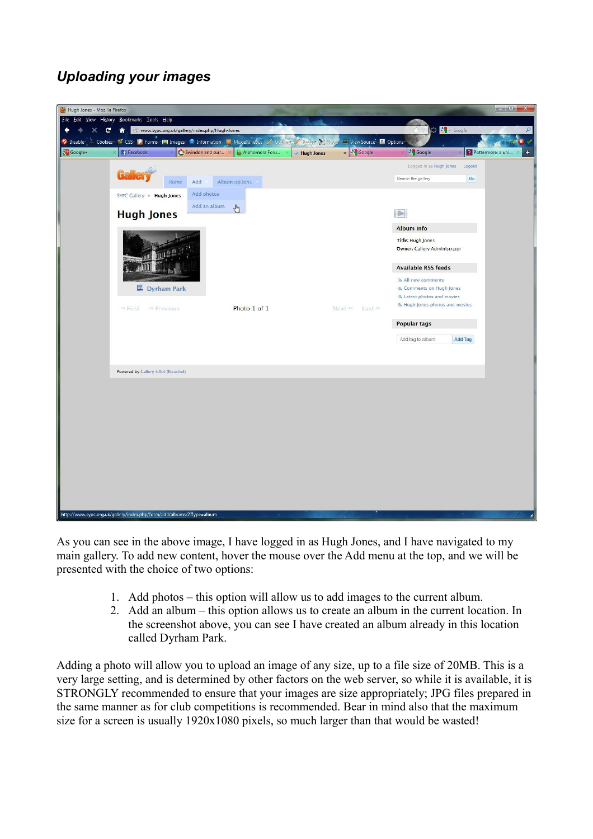### *Uploading your images*

| Hugh Jones - Mozilla Firefox |                                                                                          |                                      |                                        |                                                 | $\Box$ e<br>$\mathbf{x}$         |
|------------------------------|------------------------------------------------------------------------------------------|--------------------------------------|----------------------------------------|-------------------------------------------------|----------------------------------|
|                              | Eile Edit View History Bookmarks Tools Help                                              |                                      |                                        |                                                 |                                  |
| c                            | www.sypc.org.uk/gallery/index.php/Hugh-Jones<br>€                                        |                                      |                                        | 8 St Google                                     | Q                                |
| <sup>2</sup> Disable         | Cookies / CSS D Forms E Images 1 Information   Miscellaneous / Outline / Resizer X Tools |                                      | View Source 1 Options                  |                                                 |                                  |
| Google+                      | Facebook                                                                                 | Swindon and surr X<br>Alohomora Foru | $x$ $\frac{9}{5}$ Google<br>Hugh Jones | <b>S</b> Google                                 | $\ddot{}$<br>P Pottermore: a uni |
|                              |                                                                                          |                                      |                                        | Logged in as Hugh Jones<br>Logout               |                                  |
|                              | Home<br>Add                                                                              | Album options                        |                                        | Search the gallery<br>Go.                       |                                  |
|                              | SYPC Gallery » Hugh Jones                                                                | Add photos                           |                                        |                                                 |                                  |
|                              |                                                                                          | Add an album                         |                                        |                                                 |                                  |
|                              | <b>Hugh Jones</b>                                                                        | $\sqrt[4]{2}$                        |                                        | $\mathbb{R}$                                    |                                  |
|                              |                                                                                          |                                      |                                        | Album info                                      |                                  |
|                              |                                                                                          |                                      |                                        | <b>Title: Hugh Jones</b>                        |                                  |
|                              |                                                                                          |                                      |                                        | Owner: Gallery Administrator                    |                                  |
|                              |                                                                                          |                                      |                                        |                                                 |                                  |
|                              |                                                                                          |                                      |                                        | <b>Available RSS feeds</b>                      |                                  |
|                              | <b>B</b> Dyrham Park                                                                     |                                      |                                        | ลิ All new comments<br>& Comments on Hugh Jones |                                  |
|                              |                                                                                          |                                      |                                        | a Latest photos and movies                      |                                  |
|                              | H First < Previous                                                                       | Photo 1 of 1                         | Next >> Last >>                        | a Hugh Jones photos and movies                  |                                  |
|                              |                                                                                          |                                      |                                        | <b>Popular tags</b>                             |                                  |
|                              |                                                                                          |                                      |                                        |                                                 |                                  |
|                              |                                                                                          |                                      |                                        | Add tag to album<br><b>Add Tag</b>              |                                  |
|                              |                                                                                          |                                      |                                        |                                                 |                                  |
|                              | Powered by Gallery 3.0.4 (Ricochet)                                                      |                                      |                                        |                                                 |                                  |
|                              |                                                                                          |                                      |                                        |                                                 |                                  |
|                              |                                                                                          |                                      |                                        |                                                 |                                  |
|                              |                                                                                          |                                      |                                        |                                                 |                                  |
|                              |                                                                                          |                                      |                                        |                                                 |                                  |
|                              |                                                                                          |                                      |                                        |                                                 |                                  |
|                              |                                                                                          |                                      |                                        |                                                 |                                  |
|                              |                                                                                          |                                      |                                        |                                                 |                                  |
|                              |                                                                                          |                                      |                                        |                                                 |                                  |
|                              |                                                                                          |                                      |                                        |                                                 |                                  |
|                              |                                                                                          |                                      |                                        |                                                 |                                  |
|                              |                                                                                          |                                      |                                        |                                                 |                                  |
|                              |                                                                                          |                                      |                                        |                                                 |                                  |
|                              | http://www.sypc.org.uk/gallery/index.php/form/add/albums/2?type=album                    |                                      |                                        |                                                 |                                  |

As you can see in the above image, I have logged in as Hugh Jones, and I have navigated to my main gallery. To add new content, hover the mouse over the Add menu at the top, and we will be presented with the choice of two options:

- 1. Add photos this option will allow us to add images to the current album.
- 2. Add an album this option allows us to create an album in the current location. In the screenshot above, you can see I have created an album already in this location called Dyrham Park.

Adding a photo will allow you to upload an image of any size, up to a file size of 20MB. This is a very large setting, and is determined by other factors on the web server, so while it is available, it is STRONGLY recommended to ensure that your images are size appropriately; JPG files prepared in the same manner as for club competitions is recommended. Bear in mind also that the maximum size for a screen is usually 1920x1080 pixels, so much larger than that would be wasted!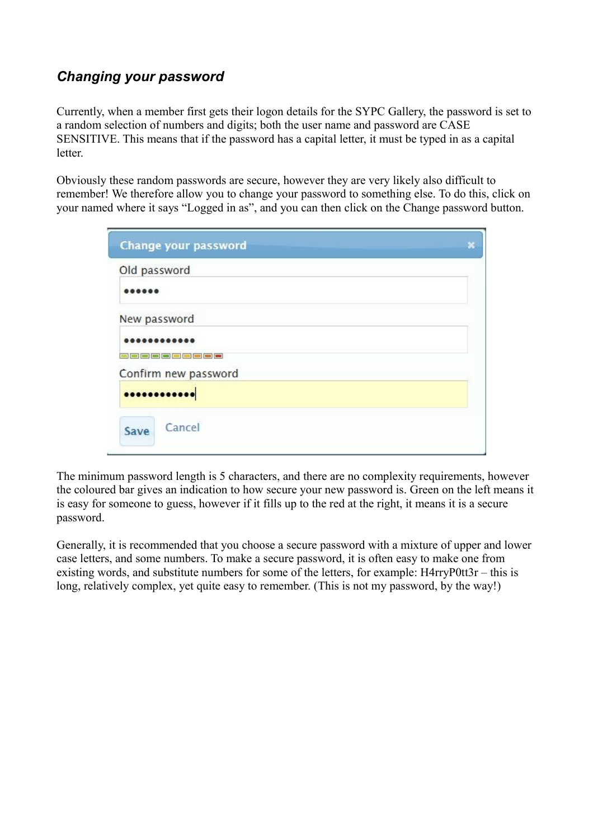#### *Changing your password*

Currently, when a member first gets their logon details for the SYPC Gallery, the password is set to a random selection of numbers and digits; both the user name and password are CASE SENSITIVE. This means that if the password has a capital letter, it must be typed in as a capital letter.

Obviously these random passwords are secure, however they are very likely also difficult to remember! We therefore allow you to change your password to something else. To do this, click on your named where it says "Logged in as", and you can then click on the Change password button.

|              | Change your password | × |
|--------------|----------------------|---|
| Old password |                      |   |
|              |                      |   |
| New password |                      |   |
|              |                      |   |
|              |                      |   |
|              | Confirm new password |   |
|              |                      |   |
| Save         | Cancel               |   |

The minimum password length is 5 characters, and there are no complexity requirements, however the coloured bar gives an indication to how secure your new password is. Green on the left means it is easy for someone to guess, however if it fills up to the red at the right, it means it is a secure password.

Generally, it is recommended that you choose a secure password with a mixture of upper and lower case letters, and some numbers. To make a secure password, it is often easy to make one from existing words, and substitute numbers for some of the letters, for example: H4rryP0tt3r – this is long, relatively complex, yet quite easy to remember. (This is not my password, by the way!)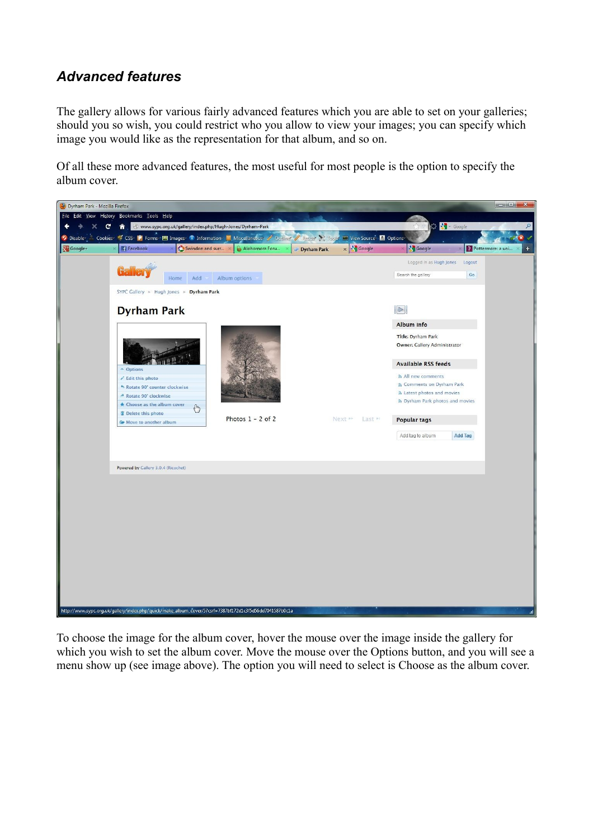#### *Advanced features*

The gallery allows for various fairly advanced features which you are able to set on your galleries; should you so wish, you could restrict who you allow to view your images; you can specify which image you would like as the representation for that album, and so on.

Of all these more advanced features, the most useful for most people is the option to specify the album cover.



To choose the image for the album cover, hover the mouse over the image inside the gallery for which you wish to set the album cover. Move the mouse over the Options button, and you will see a menu show up (see image above). The option you will need to select is Choose as the album cover.